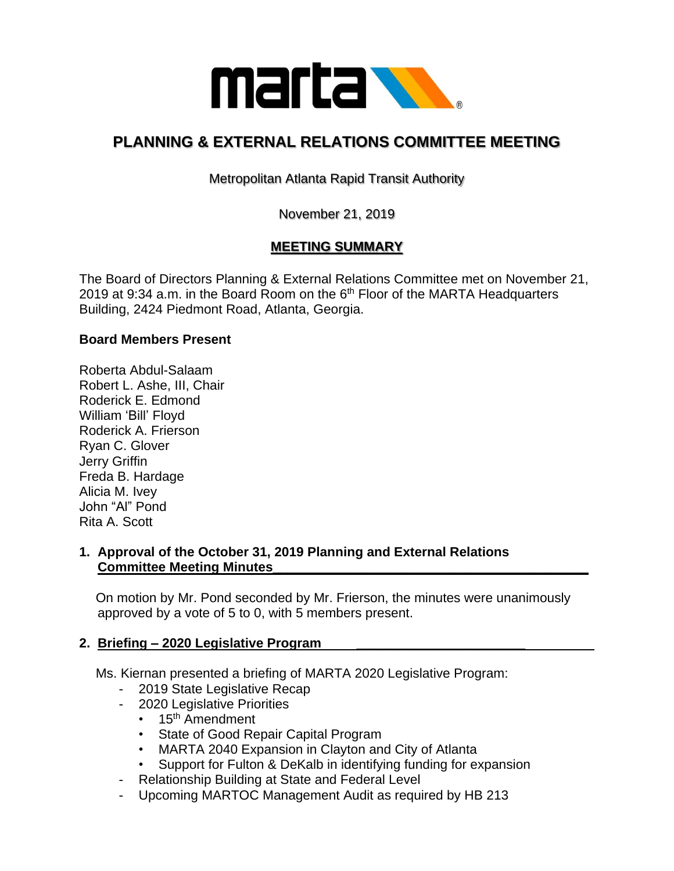

# **PLANNING & EXTERNAL RELATIONS COMMITTEE MEETING**

Metropolitan Atlanta Rapid Transit Authority

November 21, 2019

## **MEETING SUMMARY**

The Board of Directors Planning & External Relations Committee met on November 21, 2019 at 9:34 a.m. in the Board Room on the  $6<sup>th</sup>$  Floor of the MARTA Headquarters Building, 2424 Piedmont Road, Atlanta, Georgia.

### **Board Members Present**

Roberta Abdul-Salaam Robert L. Ashe, III, Chair Roderick E. Edmond William 'Bill' Floyd Roderick A. Frierson Ryan C. Glover Jerry Griffin Freda B. Hardage Alicia M. Ivey John "Al" Pond Rita A. Scott

### **1. Approval of the October 31, 2019 Planning and External Relations Committee Meeting Minutes\_\_\_\_\_\_\_\_\_\_\_\_\_\_\_\_\_\_\_\_\_\_\_\_\_\_\_\_\_\_\_\_\_\_\_\_\_\_\_\_\_\_\_**

 On motion by Mr. Pond seconded by Mr. Frierson, the minutes were unanimously approved by a vote of 5 to 0, with 5 members present.

### **2. Briefing – 2020 Legislative Program \_\_\_\_\_\_\_\_\_\_\_\_\_\_\_\_\_\_\_\_\_\_\_**

Ms. Kiernan presented a briefing of MARTA 2020 Legislative Program:

- 2019 State Legislative Recap
- 2020 Legislative Priorities
	- $\cdot$  15<sup>th</sup> Amendment
	- State of Good Repair Capital Program
	- MARTA 2040 Expansion in Clayton and City of Atlanta
	- Support for Fulton & DeKalb in identifying funding for expansion
- Relationship Building at State and Federal Level
- Upcoming MARTOC Management Audit as required by HB 213